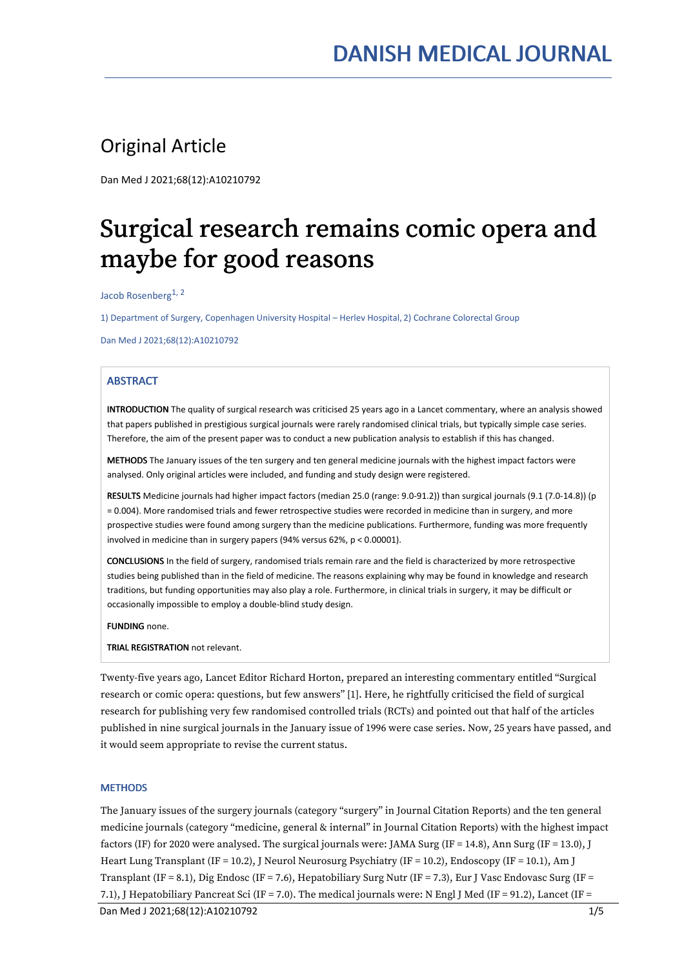# Original Article

Dan Med J 2021;68(12):A10210792

# Surgical research remains comic opera and maybe for good reasons

Jacob Rosenberg 1, 2

1) Department of Surgery, Copenhagen University Hospital – Herlev Hospital, 2) Cochrane Colorectal Group

Dan Med J 2021;68(12):A10210792

# ABSTRACT

INTRODUCTION The quality of surgical research was criticised 25 years ago in a Lancet commentary, where an analysis showed that papers published in prestigious surgical journals were rarely randomised clinical trials, but typically simple case series. Therefore, the aim of the present paper was to conduct a new publication analysis to establish if this has changed.

METHODS The January issues of the ten surgery and ten general medicine journals with the highest impact factors were analysed. Only original articles were included, and funding and study design were registered.

RESULTS Medicine journals had higher impact factors (median 25.0 (range: 9.0-91.2)) than surgical journals (9.1 (7.0-14.8)) (p = 0.004). More randomised trials and fewer retrospective studies were recorded in medicine than in surgery, and more prospective studies were found among surgery than the medicine publications. Furthermore, funding was more frequently involved in medicine than in surgery papers (94% versus 62%, p < 0.00001).

CONCLUSIONS In the field of surgery, randomised trials remain rare and the field is characterized by more retrospective studies being published than in the field of medicine. The reasons explaining why may be found in knowledge and research traditions, but funding opportunities may also play a role. Furthermore, in clinical trials in surgery, it may be difficult or occasionally impossible to employ a double-blind study design.

FUNDING none.

TRIAL REGISTRATION not relevant.

Twenty-five years ago, Lancet Editor Richard Horton, prepared an interesting commentary entitled "Surgical research or comic opera: questions, but few answers" [1]. Here, he rightfully criticised the field of surgical research for publishing very few randomised controlled trials (RCTs) and pointed out that half of the articles published in nine surgical journals in the January issue of 1996 were case series. Now, 25 years have passed, and it would seem appropriate to revise the current status.

### **METHODS**

The January issues of the surgery journals (category "surgery" in Journal Citation Reports) and the ten general medicine journals (category "medicine, general & internal" in Journal Citation Reports) with the highest impact factors (IF) for 2020 were analysed. The surgical journals were: JAMA Surg (IF = 14.8), Ann Surg (IF = 13.0), J Heart Lung Transplant (IF = 10.2), J Neurol Neurosurg Psychiatry (IF = 10.2), Endoscopy (IF = 10.1), Am J Transplant (IF = 8.1), Dig Endosc (IF = 7.6), Hepatobiliary Surg Nutr (IF = 7.3), Eur J Vasc Endovasc Surg (IF = 7.1), J Hepatobiliary Pancreat Sci (IF = 7.0). The medical journals were: N EnglJ Med (IF = 91.2), Lancet (IF =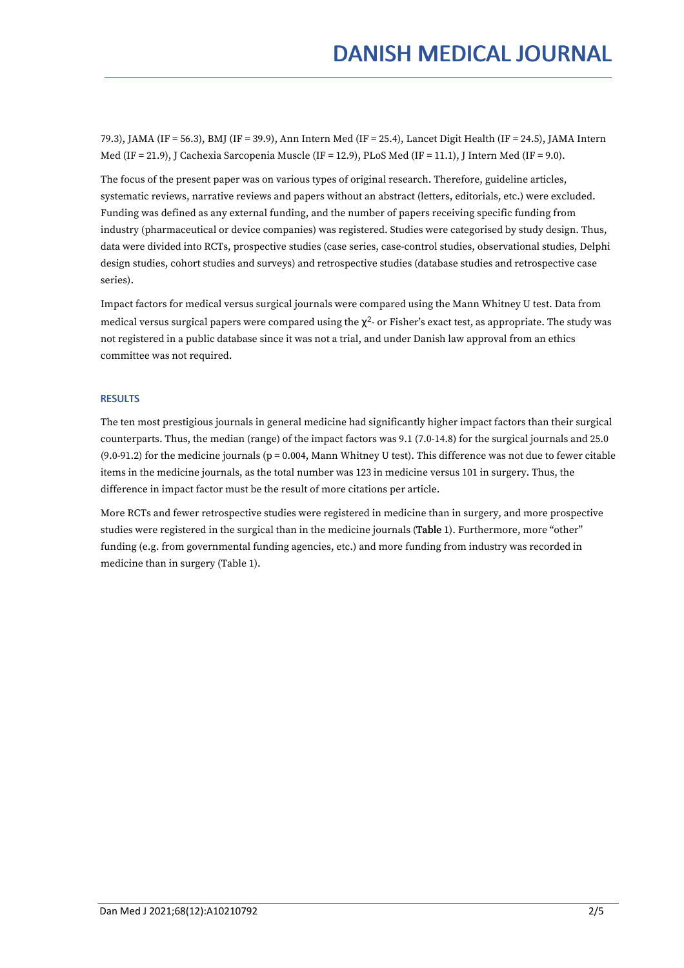79.3), JAMA (IF = 56.3), BMJ (IF = 39.9), Ann Intern Med (IF = 25.4), Lancet Digit Health (IF = 24.5), JAMA Intern Med (IF = 21.9), J Cachexia Sarcopenia Muscle (IF = 12.9), PLoS Med (IF = 11.1), J Intern Med (IF = 9.0).

The focus of the present paper was on various types of original research. Therefore, guideline articles, systematic reviews, narrative reviews and papers without an abstract (letters, editorials, etc.) were excluded. Funding was defined as any external funding, and the number of papers receiving specific funding from industry (pharmaceutical or device companies) was registered. Studies were categorised by study design. Thus, data were divided into RCTs, prospective studies (case series, case-control studies, observational studies, Delphi design studies, cohort studies and surveys) and retrospective studies (database studies and retrospective case series).

Impact factors for medical versus surgical journals were compared using the Mann Whitney U test. Data from medical versus surgical papers were compared using the  $\chi^2$ - or Fisher's exact test, as appropriate. The study was not registered in a public database since itwas not a trial, and under Danish law approval from an ethics committee was not required.

# **RESULTS**

The ten most prestigious journals in general medicine had significantly higher impact factors than their surgical counterparts. Thus, the median (range) of the impact factors was 9.1 (7.0-14.8) for the surgical journals and 25.0  $(9.0-91.2)$  for the medicine journals (p = 0.004, Mann Whitney U test). This difference was not due to fewer citable items in the medicine journals, as the total number was 123 in medicine versus 101 in surgery. Thus, the difference in impact factor must be the result of more citations per article.

More RCTs and fewer retrospective studies were registered in medicine than in surgery, and more prospective studies were registered in the surgical than in the medicine journals (Table 1). Furthermore, more "other" funding (e.g. from governmental funding agencies, etc.) and more funding from industry was recorded in medicine than in surgery (Table 1).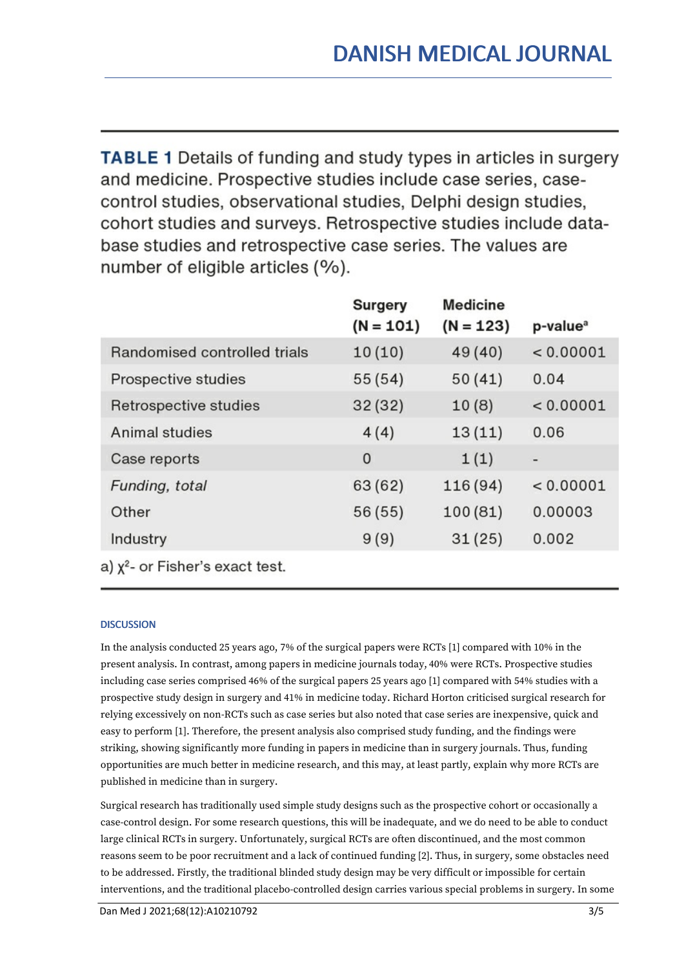**TABLE 1** Details of funding and study types in articles in surgery and medicine. Prospective studies include case series, casecontrol studies, observational studies, Delphi design studies, cohort studies and surveys. Retrospective studies include database studies and retrospective case series. The values are number of eligible articles (%).

|                                                                                                                                                                                                                                                                                                                                                             | <b>Surgery</b><br>$(N = 101)$ | <b>Medicine</b><br>$(N = 123)$ | p-value <sup>a</sup> |
|-------------------------------------------------------------------------------------------------------------------------------------------------------------------------------------------------------------------------------------------------------------------------------------------------------------------------------------------------------------|-------------------------------|--------------------------------|----------------------|
| Randomised controlled trials                                                                                                                                                                                                                                                                                                                                | 10(10)                        | 49 (40)                        | < 0.00001            |
| Prospective studies                                                                                                                                                                                                                                                                                                                                         | 55(54)                        | 50(41)                         | 0.04                 |
| Retrospective studies                                                                                                                                                                                                                                                                                                                                       | 32(32)                        | 10(8)                          | < 0.00001            |
| Animal studies                                                                                                                                                                                                                                                                                                                                              | 4(4)                          | 13(11)                         | 0.06                 |
| Case reports                                                                                                                                                                                                                                                                                                                                                | $\mathbf 0$                   | 1(1)                           | -                    |
| Funding, total                                                                                                                                                                                                                                                                                                                                              | 63 (62)                       | 116 (94)                       | < 0.00001            |
| Other                                                                                                                                                                                                                                                                                                                                                       | 56 (55)                       | 100(81)                        | 0.00003              |
| Industry                                                                                                                                                                                                                                                                                                                                                    | 9(9)                          | 31(25)                         | 0.002                |
| $\mathcal{L}$ $\mathcal{L}$ $\mathcal{L}$ $\mathcal{L}$ $\mathcal{L}$ $\mathcal{L}$ $\mathcal{L}$ $\mathcal{L}$ $\mathcal{L}$ $\mathcal{L}$ $\mathcal{L}$ $\mathcal{L}$ $\mathcal{L}$ $\mathcal{L}$ $\mathcal{L}$ $\mathcal{L}$ $\mathcal{L}$ $\mathcal{L}$ $\mathcal{L}$ $\mathcal{L}$ $\mathcal{L}$ $\mathcal{L}$ $\mathcal{L}$ $\mathcal{L}$ $\mathcal{$ |                               |                                |                      |

a)  $x^2$ - or Fisher's exact test.

# **DISCUSSION**

In the analysis conducted 25 years ago, 7% of the surgical papers were RCTs [1] compared with 10% in the present analysis. In contrast, among papers in medicine journals today, 40% were RCTs. Prospective studies including case series comprised 46% of the surgical papers 25 years ago [1] compared with 54% studies with a prospective study design in surgery and 41% in medicine today. Richard Horton criticised surgical research for relying excessively on non-RCTs such as case series but also noted that case series are inexpensive, quick and easy to perform [1]. Therefore, the present analysis also comprised study funding, and the findings were striking, showing significantly more funding in papers in medicine than in surgery journals. Thus, funding opportunities are much better in medicine research, and this may, at least partly, explain why more RCTs are published in medicine than in surgery.

Surgical research has traditionally used simple study designs such as the prospective cohort or occasionally a case-control design. For some research questions, this will be inadequate, and we do need to be able to conduct large clinical RCTs in surgery. Unfortunately, surgical RCTs are often discontinued, and the most common reasons seem to be poor recruitment and a lack of continued funding [2]. Thus, in surgery, some obstacles need to be addressed. Firstly, the traditional blinded study design may be very difficult or impossible for certain interventions, and the traditional placebo-controlled design carries various special problems in surgery. In some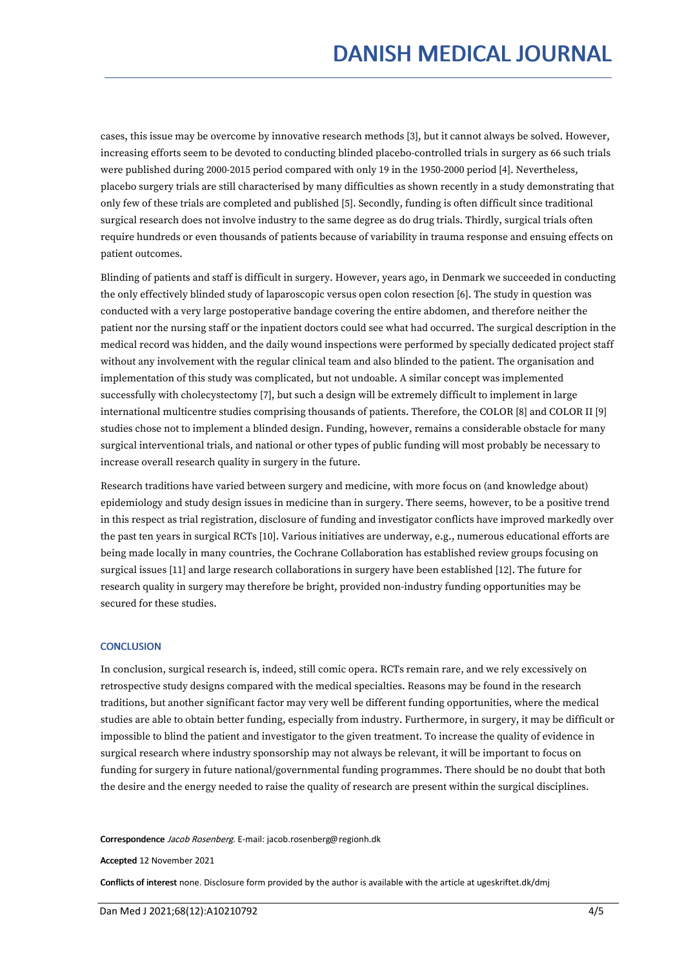cases, this issue may be overcome by innovative research methods [3], but it cannot always be solved. However, increasing efforts seem to be devoted to conducting blinded placebo-controlled trials in surgery as 66 such trials were published during 2000-2015 period compared with only 19 in the 1950-2000 period [4]. Nevertheless, placebo surgery trials are still characterised by many difficulties as shown recently in a study demonstrating that only few of these trials are completed and published [5]. Secondly, funding is often difficult since traditional surgical research does not involve industry to the same degree as do drug trials. Thirdly, surgical trials often require hundreds or even thousands of patients because of variability in trauma response and ensuing effects on patient outcomes.

Blinding of patients and staff is difficult in surgery. However, years ago, in Denmark we succeeded in conducting the only effectively blinded study of laparoscopic versus open colon resection [6]. The study in question was conducted with a very large postoperative bandage covering the entire abdomen, and therefore neither the patient nor the nursing staff or the inpatient doctors could see what had occurred. The surgical description in the medical record was hidden, and the daily wound inspections were performed by specially dedicated project staff without any involvement with the regular clinical team and also blinded to the patient. The organisation and implementation of this study was complicated, but not undoable. A similar concept was implemented successfully with cholecystectomy [7], but such a design will be extremely difficult to implement in large international multicentre studies comprising thousands of patients. Therefore, the COLOR [8] and COLOR II [9] studies chose not to implement a blinded design. Funding, however, remains a considerable obstacle for many surgical interventional trials, and national or other types of public funding will most probably be necessary to increase overall research quality in surgery in the future.

Research traditions have varied between surgery and medicine, with more focus on (and knowledge about) epidemiology and study design issues in medicine than in surgery. There seems, however, to be a positive trend in this respect as trial registration, disclosure of funding and investigator conflicts have improved markedly over the past ten years in surgical RCTs [10]. Various initiatives are underway, e.g., numerous educational efforts are being made locally in many countries, the Cochrane Collaboration has established review groups focusing on surgical issues [11] and large research collaborations in surgery have been established [12]. The future for research quality in surgery may therefore be bright, provided non-industry funding opportunities may be secured for these studies.

### **CONCLUSION**

In conclusion, surgical research is, indeed, still comic opera. RCTs remain rare, and we rely excessively on retrospective study designs compared with the medical specialties. Reasons may be found in the research traditions, but another significant factor may very well be different funding opportunities, where the medical studies are able to obtain better funding, especially from industry. Furthermore, in surgery, it may be difficult or impossible to blind the patient and investigator to the given treatment. To increase the quality of evidence in surgical research where industry sponsorship may not always be relevant, it will be important to focus on funding for surgery in future national/governmental funding programmes. There should be no doubt that both the desire and the energy needed to raise the quality of research are present within the surgical disciplines.

Correspondence Jacob Rosenberg. E-mail: jacob.rosenberg@regionh.dk

Accepted 12 November 2021

Conflicts of interest none. Disclosure form provided by the author is available with the article at ugeskriftet.dk/dmj